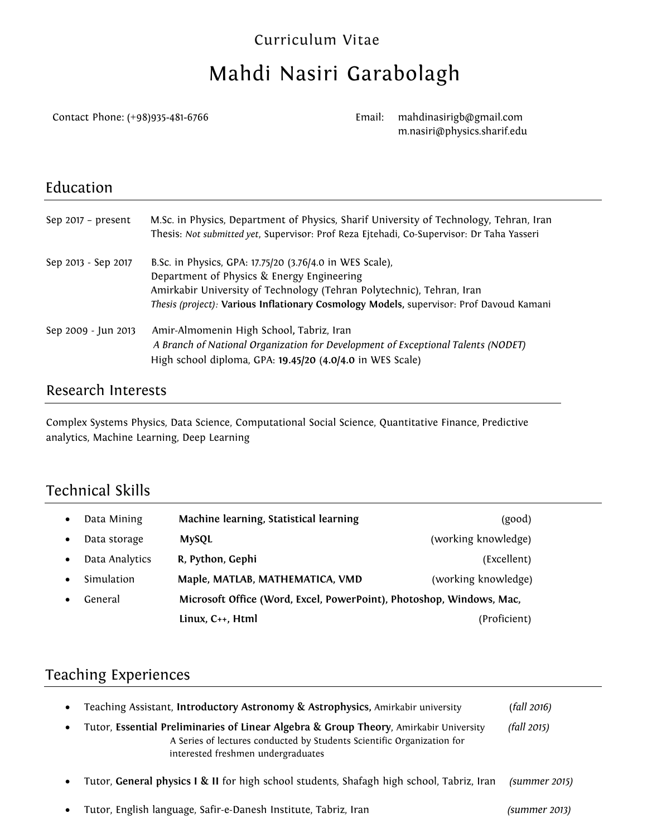#### Curriculum Vitae

# Mahdi Nasiri Garabolagh

Contact Phone: (+98)935-481-6766 Email:

mahdinasirigb@gmail.com m.nasiri@physics.sharif.edu

#### Education

| Sep $2017 - present$ | M.Sc. in Physics, Department of Physics, Sharif University of Technology, Tehran, Iran<br>Thesis: Not submitted yet, Supervisor: Prof Reza Ejtehadi, Co-Supervisor: Dr Taha Yasseri |
|----------------------|-------------------------------------------------------------------------------------------------------------------------------------------------------------------------------------|
| Sep 2013 - Sep 2017  | B.Sc. in Physics, GPA: 17.75/20 (3.76/4.0 in WES Scale),                                                                                                                            |
|                      | Department of Physics & Energy Engineering                                                                                                                                          |
|                      | Amirkabir University of Technology (Tehran Polytechnic), Tehran, Iran                                                                                                               |
|                      | Thesis (project): Various Inflationary Cosmology Models, supervisor: Prof Davoud Kamani                                                                                             |
| Sep 2009 - Jun 2013  | Amir-Almomenin High School, Tabriz, Iran                                                                                                                                            |
|                      | A Branch of National Organization for Development of Exceptional Talents (NODET)                                                                                                    |
|                      | High school diploma, GPA: 19.45/20 (4.0/4.0 in WES Scale)                                                                                                                           |

#### Research Interests

Complex Systems Physics, Data Science, Computational Social Science, Quantitative Finance, Predictive analytics, Machine Learning, Deep Learning

## Technical Skills

| Data Mining    | Machine learning, Statistical learning                               | (good)              |
|----------------|----------------------------------------------------------------------|---------------------|
| Data storage   | <b>MySQL</b>                                                         | (working knowledge) |
| Data Analytics | R, Python, Gephi                                                     | (Excellent)         |
| Simulation     | Maple, MATLAB, MATHEMATICA, VMD                                      | (working knowledge) |
| General        | Microsoft Office (Word, Excel, PowerPoint), Photoshop, Windows, Mac, |                     |
|                | Linux, C++, Html                                                     | (Proficient)        |

#### Teaching Experiences

| $\bullet$<br>$\bullet$ | Teaching Assistant, Introductory Astronomy & Astrophysics, Amirkabir university<br>Tutor, Essential Preliminaries of Linear Algebra & Group Theory, Amirkabir University<br>A Series of lectures conducted by Students Scientific Organization for<br>interested freshmen undergraduates | (fall 2016)<br>(fall 2015) |
|------------------------|------------------------------------------------------------------------------------------------------------------------------------------------------------------------------------------------------------------------------------------------------------------------------------------|----------------------------|
| $\bullet$              | Tutor, General physics I & II for high school students, Shafagh high school, Tabriz, Iran                                                                                                                                                                                                | (summer 2015)              |
| $\bullet$              | Tutor, English language, Safir-e-Danesh Institute, Tabriz, Iran                                                                                                                                                                                                                          | (summer 2013)              |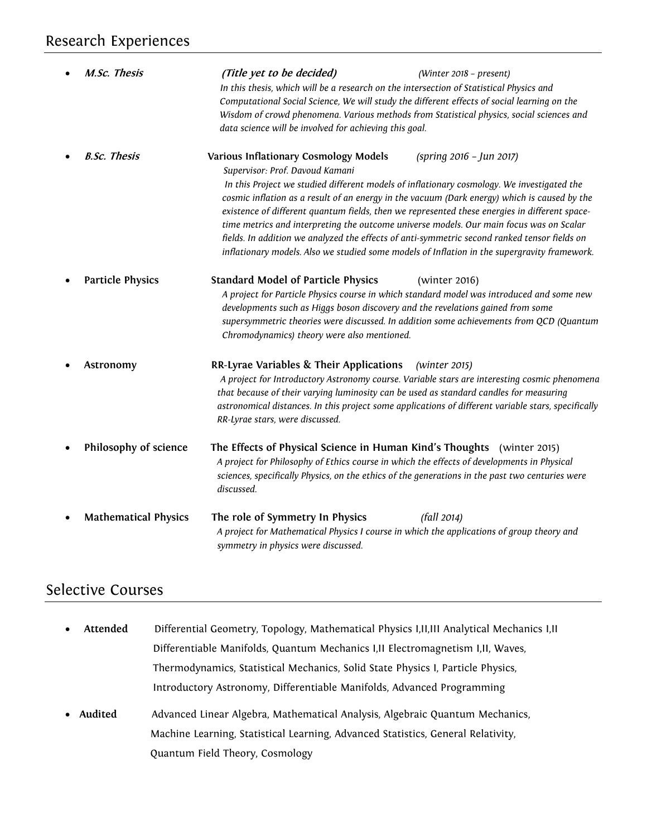| M.Sc. Thesis                | (Title yet to be decided)<br>In this thesis, which will be a research on the intersection of Statistical Physics and<br>Computational Social Science, We will study the different effects of social learning on the<br>Wisdom of crowd phenomena. Various methods from Statistical physics, social sciences and<br>data science will be involved for achieving this goal. | (Winter 2018 - present)                                                                                                                                                                                                                                                                                                   |
|-----------------------------|---------------------------------------------------------------------------------------------------------------------------------------------------------------------------------------------------------------------------------------------------------------------------------------------------------------------------------------------------------------------------|---------------------------------------------------------------------------------------------------------------------------------------------------------------------------------------------------------------------------------------------------------------------------------------------------------------------------|
| <b>B.Sc. Thesis</b>         | Various Inflationary Cosmology Models<br>Supervisor: Prof. Davoud Kamani<br>In this Project we studied different models of inflationary cosmology. We investigated the<br>time metrics and interpreting the outcome universe models. Our main focus was on Scalar<br>fields. In addition we analyzed the effects of anti-symmetric second ranked tensor fields on         | (spring 2016 - Jun 2017)<br>cosmic inflation as a result of an energy in the vacuum (Dark energy) which is caused by the<br>existence of different quantum fields, then we represented these energies in different space-<br>inflationary models. Also we studied some models of Inflation in the supergravity framework. |
| <b>Particle Physics</b>     | <b>Standard Model of Particle Physics</b><br>developments such as Higgs boson discovery and the revelations gained from some<br>Chromodynamics) theory were also mentioned.                                                                                                                                                                                               | (winter 2016)<br>A project for Particle Physics course in which standard model was introduced and some new<br>supersymmetric theories were discussed. In addition some achievements from QCD (Quantum                                                                                                                     |
| Astronomy                   | RR-Lyrae Variables & Their Applications<br>that because of their varying luminosity can be used as standard candles for measuring<br>RR-Lyrae stars, were discussed.                                                                                                                                                                                                      | (winter 2015)<br>A project for Introductory Astronomy course. Variable stars are interesting cosmic phenomena<br>astronomical distances. In this project some applications of different variable stars, specifically                                                                                                      |
| Philosophy of science       | The Effects of Physical Science in Human Kind's Thoughts (winter 2015)<br>A project for Philosophy of Ethics course in which the effects of developments in Physical<br>sciences, specifically Physics, on the ethics of the generations in the past two centuries were<br>discussed.                                                                                     |                                                                                                                                                                                                                                                                                                                           |
| <b>Mathematical Physics</b> | The role of Symmetry In Physics<br>A project for Mathematical Physics I course in which the applications of group theory and<br>symmetry in physics were discussed.                                                                                                                                                                                                       | (fall 2014)                                                                                                                                                                                                                                                                                                               |

### Selective Courses

- **Attended** Differential Geometry, Topology, Mathematical Physics I,II,III Analytical Mechanics I,II Differentiable Manifolds, Quantum Mechanics I,II Electromagnetism I,II, Waves, Thermodynamics, Statistical Mechanics, Solid State Physics I, Particle Physics, Introductory Astronomy, Differentiable Manifolds, Advanced Programming
- **Audited** Advanced Linear Algebra, Mathematical Analysis, Algebraic Quantum Mechanics, Machine Learning, Statistical Learning, Advanced Statistics, General Relativity, Quantum Field Theory, Cosmology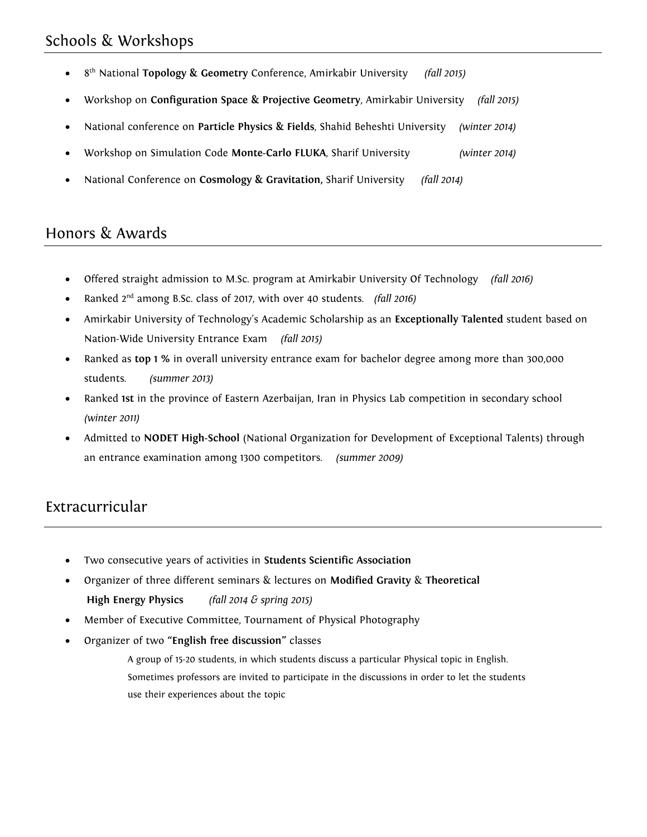## Schools & Workshops

- 8<sup>th</sup> National **Topology & Geometry** Conference, Amirkabir University *(fall 2015)*
- Workshop on **Configuration Space & Projective Geometry**, Amirkabir University *(fall 2015)*
- National conference on **Particle Physics & Fields**, Shahid Beheshti University *(winter 2014)*
- Workshop on Simulation Code **Monte-Carlo FLUKA**, Sharif University *(winter 2014)*
- National Conference on **Cosmology & Gravitation,** Sharif University *(fall 2014)*

#### Honors & Awards

- Offered straight admission to M.Sc. program at Amirkabir University Of Technology *(fall 2016)*
- Ranked 2nd among B.Sc. class of 2017, with over 40 students. *(fall 2016)*
- Amirkabir University of Technology's Academic Scholarship as an **Exceptionally Talented** student based on Nation-Wide University Entrance Exam *(fall 2015)*
- Ranked as **top 1 %** in overall university entrance exam for bachelor degree among more than 300,000 students. *(summer 2013)*
- Ranked **1st** in the province of Eastern Azerbaijan, Iran in Physics Lab competition in secondary school *(winter 2011)*
- Admitted to **NODET High-School** (National Organization for Development of Exceptional Talents) through an entrance examination among 1300 competitors. *(summer 2009)*

#### Extracurricular

- Two consecutive years of activities in **Students Scientific Association**
- Organizer of three different seminars & lectures on **Modified Gravity** & **Theoretical High Energy Physics** *(fall 2014 & spring 2015)*
- Member of Executive Committee, Tournament of Physical Photography
- Organizer of two **"English free discussion"** classes

A group of 15-20 students, in which students discuss a particular Physical topic in English. Sometimes professors are invited to participate in the discussions in order to let the students use their experiences about the topic